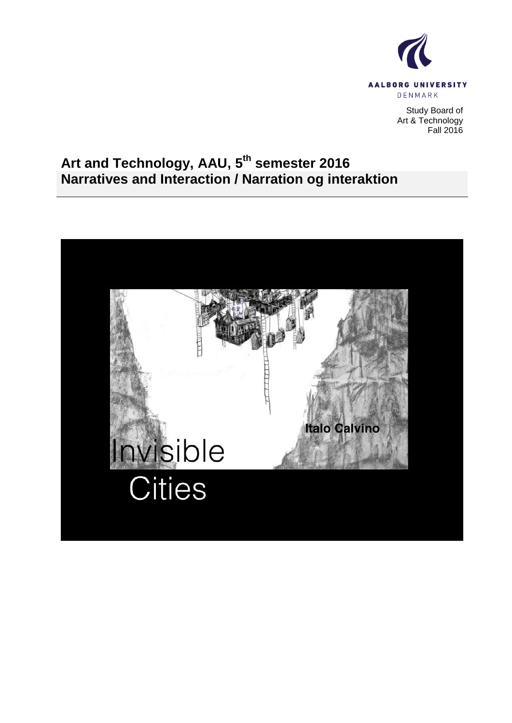

Study Board of Art & Technology Fall 2016

## **Art and Technology, AAU, 5 th semester 2016 Narratives and Interaction / Narration og interaktion**

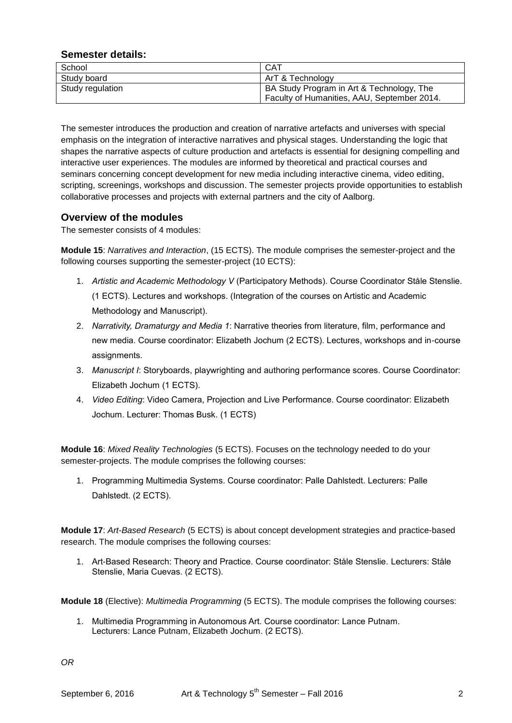## **Semester details:**

| School           | <b>CAT</b>                                  |
|------------------|---------------------------------------------|
| Study board      | ArT & Technology                            |
| Study regulation | BA Study Program in Art & Technology, The   |
|                  | Faculty of Humanities, AAU, September 2014. |

The semester introduces the production and creation of narrative artefacts and universes with special emphasis on the integration of interactive narratives and physical stages. Understanding the logic that shapes the narrative aspects of culture production and artefacts is essential for designing compelling and interactive user experiences. The modules are informed by theoretical and practical courses and seminars concerning concept development for new media including interactive cinema, video editing, scripting, screenings, workshops and discussion. The semester projects provide opportunities to establish collaborative processes and projects with external partners and the city of Aalborg.

## **Overview of the modules**

The semester consists of 4 modules:

**Module 15**: *Narratives and Interaction*, (15 ECTS). The module comprises the semester-project and the following courses supporting the semester-project (10 ECTS):

- 1. *Artistic and Academic Methodology V* (Participatory Methods). Course Coordinator Ståle Stenslie. (1 ECTS). Lectures and workshops. (Integration of the courses on Artistic and Academic Methodology and Manuscript).
- 2. *Narrativity, Dramaturgy and Media 1*: Narrative theories from literature, film, performance and new media. Course coordinator: Elizabeth Jochum (2 ECTS). Lectures, workshops and in-course assignments.
- 3. *Manuscript I*: Storyboards, playwrighting and authoring performance scores. Course Coordinator: Elizabeth Jochum (1 ECTS).
- 4. *Video Editing*: Video Camera, Projection and Live Performance. Course coordinator: Elizabeth Jochum. Lecturer: Thomas Busk. (1 ECTS)

**Module 16**: *Mixed Reality Technologies* (5 ECTS). Focuses on the technology needed to do your semester-projects. The module comprises the following courses:

1. Programming Multimedia Systems. Course coordinator: Palle Dahlstedt. Lecturers: Palle Dahlstedt. (2 ECTS).

**Module 17**: *Art-Based Research* (5 ECTS) is about concept development strategies and practice-based research. The module comprises the following courses:

1. Art-Based Research: Theory and Practice. Course coordinator: Ståle Stenslie. Lecturers: Ståle Stenslie, Maria Cuevas. (2 ECTS).

**Module 18** (Elective): *Multimedia Programming* (5 ECTS). The module comprises the following courses:

1. Multimedia Programming in Autonomous Art. Course coordinator: Lance Putnam. Lecturers: Lance Putnam, Elizabeth Jochum. (2 ECTS).

*OR*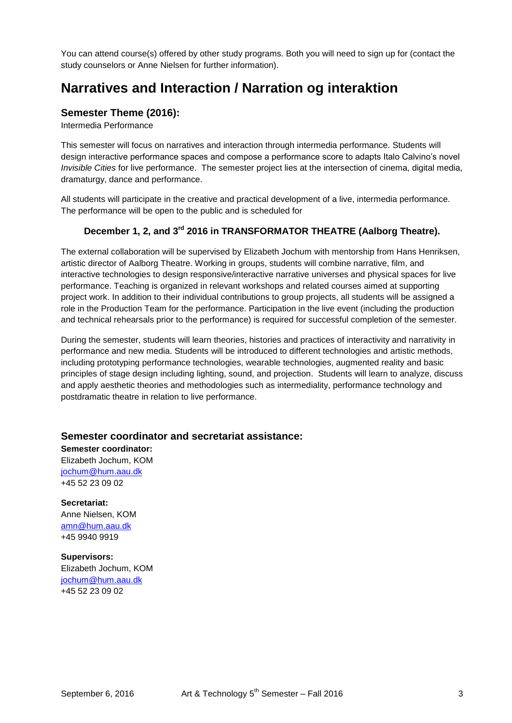You can attend course(s) offered by other study programs. Both you will need to sign up for (contact the study counselors or Anne Nielsen for further information).

## **Narratives and Interaction / Narration og interaktion**

## **Semester Theme (2016):**

Intermedia Performance

This semester will focus on narratives and interaction through intermedia performance. Students will design interactive performance spaces and compose a performance score to adapts Italo Calvino's novel *Invisible Cities* for live performance. The semester project lies at the intersection of cinema, digital media, dramaturgy, dance and performance.

All students will participate in the creative and practical development of a live, intermedia performance. The performance will be open to the public and is scheduled for

## **December 1, 2, and 3rd 2016 in TRANSFORMATOR THEATRE (Aalborg Theatre).**

The external collaboration will be supervised by Elizabeth Jochum with mentorship from Hans Henriksen, artistic director of Aalborg Theatre. Working in groups, students will combine narrative, film, and interactive technologies to design responsive/interactive narrative universes and physical spaces for live performance. Teaching is organized in relevant workshops and related courses aimed at supporting project work. In addition to their individual contributions to group projects, all students will be assigned a role in the Production Team for the performance. Participation in the live event (including the production and technical rehearsals prior to the performance) is required for successful completion of the semester.

During the semester, students will learn theories, histories and practices of interactivity and narrativity in performance and new media. Students will be introduced to different technologies and artistic methods, including prototyping performance technologies, wearable technologies, augmented reality and basic principles of stage design including lighting, sound, and projection. Students will learn to analyze, discuss and apply aesthetic theories and methodologies such as intermediality, performance technology and postdramatic theatre in relation to live performance.

## **Semester coordinator and secretariat assistance:**

**Semester coordinator:** Elizabeth Jochum, KOM [jochum@hum.aau.dk](mailto:jochum@hum.aau.dk) +45 52 23 09 02

**Secretariat:** Anne Nielsen, KOM [amn@hum.aau.dk](mailto:amn@hum.aau.dk) +45 9940 9919

**Supervisors:** Elizabeth Jochum, KOM [jochum@hum.aau.dk](mailto:jochum@hum.aau.dk) +45 52 23 09 02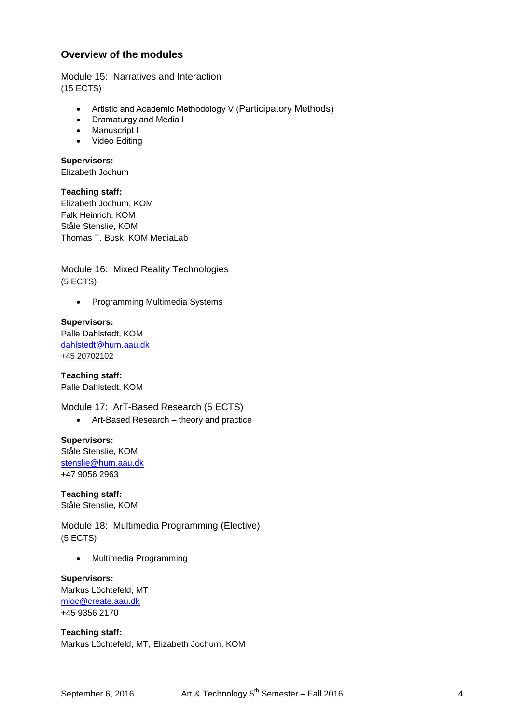## **Overview of the modules**

Module 15: Narratives and Interaction (15 ECTS)

- Artistic and Academic Methodology V (Participatory Methods)
- Dramaturgy and Media I
- Manuscript I
- Video Editing

**Supervisors:**

Elizabeth Jochum

**Teaching staff:**

Elizabeth Jochum, KOM Falk Heinrich, KOM Ståle Stenslie, KOM Thomas T. Busk, KOM MediaLab

Module 16: Mixed Reality Technologies (5 ECTS)

• Programming Multimedia Systems

## **Supervisors:**

Palle Dahlstedt, KOM [dahlstedt@hum.aau.dk](mailto:dahlstedt@hum.aau.dk) +45 20702102

**Teaching staff:** Palle Dahlstedt, KOM

Module 17: ArT-Based Research (5 ECTS)

Art-Based Research – theory and practice

**Supervisors:** Ståle Stenslie, KOM [stenslie@hum.aau.dk](mailto:stenslie@hum.aau.dk) +47 9056 2963

**Teaching staff:** Ståle Stenslie, KOM

Module 18: Multimedia Programming (Elective) (5 ECTS)

• Multimedia Programming

**Supervisors:** Markus Löchtefeld, MT [mloc@create.aau.dk](mailto:lp@create.aau.dk) +45 9356 2170

**Teaching staff:** Markus Löchtefeld, MT, Elizabeth Jochum, KOM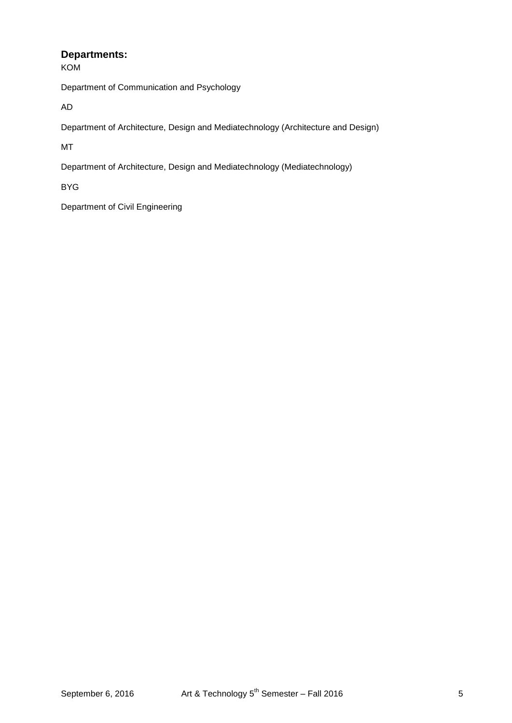## **Departments:**

KOM

Department of Communication and Psychology

AD

Department of Architecture, Design and Mediatechnology (Architecture and Design)

MT

Department of Architecture, Design and Mediatechnology (Mediatechnology)

BYG

Department of Civil Engineering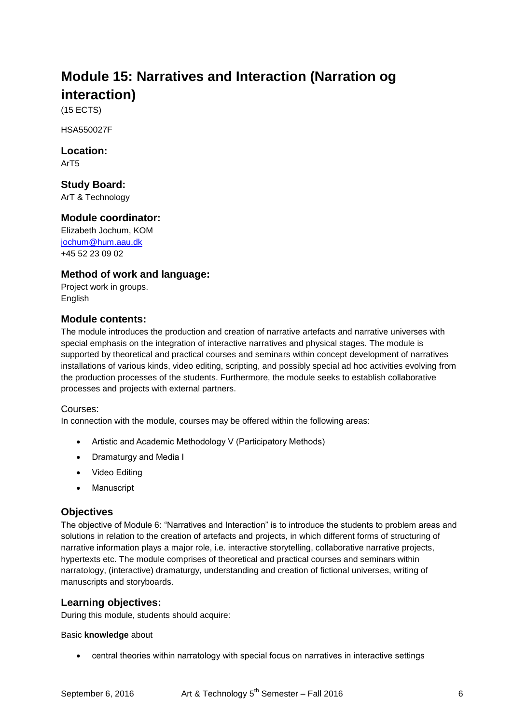# **Module 15: Narratives and Interaction (Narration og interaction)**

(15 ECTS)

HSA550027F

**Location:** ArT5

**Study Board:**

ArT & Technology

## **Module coordinator:**

Elizabeth Jochum, KOM [jochum@hum.aau.dk](mailto:jochum@hum.aau.dk) +45 52 23 09 02

## **Method of work and language:**

Project work in groups. **English** 

## **Module contents:**

The module introduces the production and creation of narrative artefacts and narrative universes with special emphasis on the integration of interactive narratives and physical stages. The module is supported by theoretical and practical courses and seminars within concept development of narratives installations of various kinds, video editing, scripting, and possibly special ad hoc activities evolving from the production processes of the students. Furthermore, the module seeks to establish collaborative processes and projects with external partners.

## Courses:

In connection with the module, courses may be offered within the following areas:

- Artistic and Academic Methodology V (Participatory Methods)
- Dramaturgy and Media I
- Video Editing
- Manuscript

## **Objectives**

The objective of Module 6: "Narratives and Interaction" is to introduce the students to problem areas and solutions in relation to the creation of artefacts and projects, in which different forms of structuring of narrative information plays a major role, i.e. interactive storytelling, collaborative narrative projects, hypertexts etc. The module comprises of theoretical and practical courses and seminars within narratology, (interactive) dramaturgy, understanding and creation of fictional universes, writing of manuscripts and storyboards.

## **Learning objectives:**

During this module, students should acquire:

#### Basic **knowledge** about

central theories within narratology with special focus on narratives in interactive settings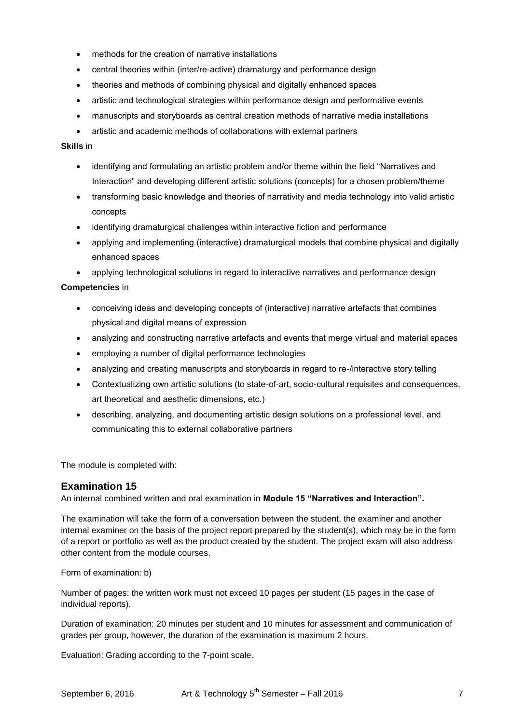- methods for the creation of narrative installations
- central theories within (inter/re-active) dramaturgy and performance design
- theories and methods of combining physical and digitally enhanced spaces
- artistic and technological strategies within performance design and performative events
- manuscripts and storyboards as central creation methods of narrative media installations
- artistic and academic methods of collaborations with external partners

#### **Skills** in

- identifying and formulating an artistic problem and/or theme within the field "Narratives and Interaction" and developing different artistic solutions (concepts) for a chosen problem/theme
- transforming basic knowledge and theories of narrativity and media technology into valid artistic concepts
- identifying dramaturgical challenges within interactive fiction and performance
- applying and implementing (interactive) dramaturgical models that combine physical and digitally enhanced spaces

applying technological solutions in regard to interactive narratives and performance design

#### **Competencies** in

- conceiving ideas and developing concepts of (interactive) narrative artefacts that combines physical and digital means of expression
- analyzing and constructing narrative artefacts and events that merge virtual and material spaces
- employing a number of digital performance technologies
- analyzing and creating manuscripts and storyboards in regard to re-/interactive story telling
- Contextualizing own artistic solutions (to state-of-art, socio-cultural requisites and consequences, art theoretical and aesthetic dimensions, etc.)
- describing, analyzing, and documenting artistic design solutions on a professional level, and communicating this to external collaborative partners

The module is completed with:

## **Examination 15**

An internal combined written and oral examination in **Module 15 "Narratives and Interaction".**

The examination will take the form of a conversation between the student, the examiner and another internal examiner on the basis of the project report prepared by the student(s), which may be in the form of a report or portfolio as well as the product created by the student. The project exam will also address other content from the module courses.

Form of examination: b)

Number of pages: the written work must not exceed 10 pages per student (15 pages in the case of individual reports).

Duration of examination: 20 minutes per student and 10 minutes for assessment and communication of grades per group, however, the duration of the examination is maximum 2 hours.

Evaluation: Grading according to the 7-point scale.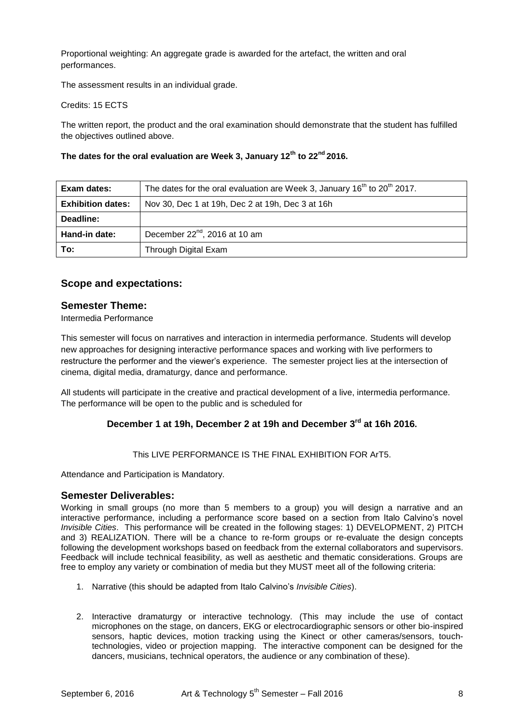Proportional weighting: An aggregate grade is awarded for the artefact, the written and oral performances.

The assessment results in an individual grade.

Credits: 15 ECTS

The written report, the product and the oral examination should demonstrate that the student has fulfilled the objectives outlined above.

#### **The dates for the oral evaluation are Week 3, January 12th to 22nd 2016.**

| Exam dates:              | The dates for the oral evaluation are Week 3, January 16 <sup>th</sup> to 20 <sup>th</sup> 2017. |
|--------------------------|--------------------------------------------------------------------------------------------------|
| <b>Exhibition dates:</b> | Nov 30, Dec 1 at 19h, Dec 2 at 19h, Dec 3 at 16h                                                 |
| Deadline:                |                                                                                                  |
| Hand-in date:            | December 22 <sup>nd</sup> , 2016 at 10 am                                                        |
| To:                      | Through Digital Exam                                                                             |

## **Scope and expectations:**

## **Semester Theme:**

Intermedia Performance

This semester will focus on narratives and interaction in intermedia performance. Students will develop new approaches for designing interactive performance spaces and working with live performers to restructure the performer and the viewer's experience. The semester project lies at the intersection of cinema, digital media, dramaturgy, dance and performance.

All students will participate in the creative and practical development of a live, intermedia performance. The performance will be open to the public and is scheduled for

## **December 1 at 19h, December 2 at 19h and December 3rd at 16h 2016.**

#### This LIVE PERFORMANCE IS THE FINAL EXHIBITION FOR ArT5.

Attendance and Participation is Mandatory.

#### **Semester Deliverables:**

Working in small groups (no more than 5 members to a group) you will design a narrative and an interactive performance, including a performance score based on a section from Italo Calvino's novel *Invisible Cities*. This performance will be created in the following stages: 1) DEVELOPMENT, 2) PITCH and 3) REALIZATION. There will be a chance to re-form groups or re-evaluate the design concepts following the development workshops based on feedback from the external collaborators and supervisors. Feedback will include technical feasibility, as well as aesthetic and thematic considerations. Groups are free to employ any variety or combination of media but they MUST meet all of the following criteria:

- 1. Narrative (this should be adapted from Italo Calvino's *Invisible Cities*).
- 2. Interactive dramaturgy or interactive technology. (This may include the use of contact microphones on the stage, on dancers, EKG or electrocardiographic sensors or other bio-inspired sensors, haptic devices, motion tracking using the Kinect or other cameras/sensors, touchtechnologies, video or projection mapping. The interactive component can be designed for the dancers, musicians, technical operators, the audience or any combination of these).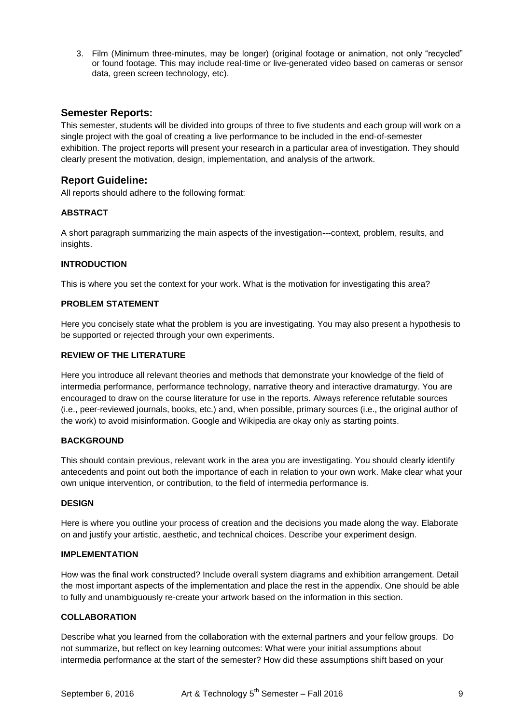3. Film (Minimum three-minutes, may be longer) (original footage or animation, not only "recycled" or found footage. This may include real-time or live-generated video based on cameras or sensor data, green screen technology, etc).

## **Semester Reports:**

This semester, students will be divided into groups of three to five students and each group will work on a single project with the goal of creating a live performance to be included in the end-of-semester exhibition. The project reports will present your research in a particular area of investigation. They should clearly present the motivation, design, implementation, and analysis of the artwork.

## **Report Guideline:**

All reports should adhere to the following format:

## **ABSTRACT**

A short paragraph summarizing the main aspects of the investigation---context, problem, results, and insights.

## **INTRODUCTION**

This is where you set the context for your work. What is the motivation for investigating this area?

#### **PROBLEM STATEMENT**

Here you concisely state what the problem is you are investigating. You may also present a hypothesis to be supported or rejected through your own experiments.

#### **REVIEW OF THE LITERATURE**

Here you introduce all relevant theories and methods that demonstrate your knowledge of the field of intermedia performance, performance technology, narrative theory and interactive dramaturgy. You are encouraged to draw on the course literature for use in the reports. Always reference refutable sources (i.e., peer-reviewed journals, books, etc.) and, when possible, primary sources (i.e., the original author of the work) to avoid misinformation. Google and Wikipedia are okay only as starting points.

#### **BACKGROUND**

This should contain previous, relevant work in the area you are investigating. You should clearly identify antecedents and point out both the importance of each in relation to your own work. Make clear what your own unique intervention, or contribution, to the field of intermedia performance is.

#### **DESIGN**

Here is where you outline your process of creation and the decisions you made along the way. Elaborate on and justify your artistic, aesthetic, and technical choices. Describe your experiment design.

#### **IMPLEMENTATION**

How was the final work constructed? Include overall system diagrams and exhibition arrangement. Detail the most important aspects of the implementation and place the rest in the appendix. One should be able to fully and unambiguously re-create your artwork based on the information in this section.

#### **COLLABORATION**

Describe what you learned from the collaboration with the external partners and your fellow groups. Do not summarize, but reflect on key learning outcomes: What were your initial assumptions about intermedia performance at the start of the semester? How did these assumptions shift based on your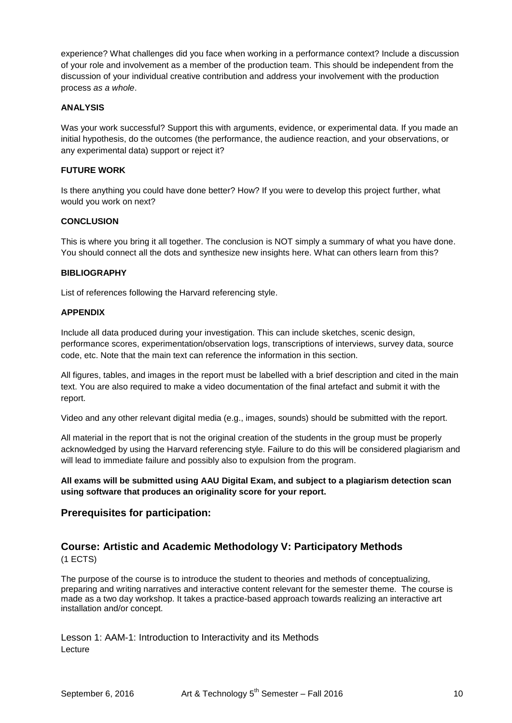experience? What challenges did you face when working in a performance context? Include a discussion of your role and involvement as a member of the production team. This should be independent from the discussion of your individual creative contribution and address your involvement with the production process *as a whole*.

#### **ANALYSIS**

Was your work successful? Support this with arguments, evidence, or experimental data. If you made an initial hypothesis, do the outcomes (the performance, the audience reaction, and your observations, or any experimental data) support or reject it?

## **FUTURE WORK**

Is there anything you could have done better? How? If you were to develop this project further, what would you work on next?

## **CONCLUSION**

This is where you bring it all together. The conclusion is NOT simply a summary of what you have done. You should connect all the dots and synthesize new insights here. What can others learn from this?

#### **BIBLIOGRAPHY**

List of references following the Harvard referencing style.

#### **APPENDIX**

Include all data produced during your investigation. This can include sketches, scenic design, performance scores, experimentation/observation logs, transcriptions of interviews, survey data, source code, etc. Note that the main text can reference the information in this section.

All figures, tables, and images in the report must be labelled with a brief description and cited in the main text. You are also required to make a video documentation of the final artefact and submit it with the report.

Video and any other relevant digital media (e.g., images, sounds) should be submitted with the report.

All material in the report that is not the original creation of the students in the group must be properly acknowledged by using the Harvard referencing style. Failure to do this will be considered plagiarism and will lead to immediate failure and possibly also to expulsion from the program.

**All exams will be submitted using AAU Digital Exam, and subject to a plagiarism detection scan using software that produces an originality score for your report.**

## **Prerequisites for participation:**

# **Course: Artistic and Academic Methodology V: Participatory Methods**

(1 ECTS)

The purpose of the course is to introduce the student to theories and methods of conceptualizing, preparing and writing narratives and interactive content relevant for the semester theme. The course is made as a two day workshop. It takes a practice-based approach towards realizing an interactive art installation and/or concept.

Lesson 1: AAM-1: Introduction to Interactivity and its Methods Lecture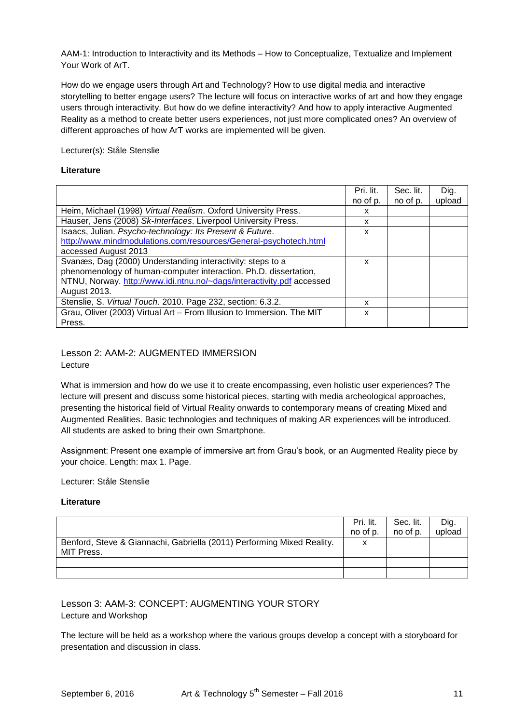AAM-1: Introduction to Interactivity and its Methods – How to Conceptualize, Textualize and Implement Your Work of ArT.

How do we engage users through Art and Technology? How to use digital media and interactive storytelling to better engage users? The lecture will focus on interactive works of art and how they engage users through interactivity. But how do we define interactivity? And how to apply interactive Augmented Reality as a method to create better users experiences, not just more complicated ones? An overview of different approaches of how ArT works are implemented will be given.

Lecturer(s): Ståle Stenslie

#### **Literature**

|                                                                       | Pri. lit. | Sec. lit. | Dig.   |
|-----------------------------------------------------------------------|-----------|-----------|--------|
|                                                                       | no of p.  | no of p.  | upload |
| Heim, Michael (1998) Virtual Realism. Oxford University Press.        | x         |           |        |
| Hauser, Jens (2008) Sk-Interfaces. Liverpool University Press.        | x         |           |        |
| Isaacs, Julian. Psycho-technology: Its Present & Future.              | x         |           |        |
| http://www.mindmodulations.com/resources/General-psychotech.html      |           |           |        |
| accessed August 2013                                                  |           |           |        |
| Svanæs, Dag (2000) Understanding interactivity: steps to a            | x         |           |        |
| phenomenology of human-computer interaction. Ph.D. dissertation,      |           |           |        |
| NTNU, Norway. http://www.idi.ntnu.no/~dags/interactivity.pdf accessed |           |           |        |
| August 2013.                                                          |           |           |        |
| Stenslie, S. Virtual Touch. 2010. Page 232, section: 6.3.2.           | x         |           |        |
| Grau, Oliver (2003) Virtual Art - From Illusion to Immersion. The MIT | x         |           |        |
| Press.                                                                |           |           |        |

#### Lesson 2: AAM-2: AUGMENTED IMMERSION Lecture

What is immersion and how do we use it to create encompassing, even holistic user experiences? The lecture will present and discuss some historical pieces, starting with media archeological approaches, presenting the historical field of Virtual Reality onwards to contemporary means of creating Mixed and Augmented Realities. Basic technologies and techniques of making AR experiences will be introduced. All students are asked to bring their own Smartphone.

Assignment: Present one example of immersive art from Grau's book, or an Augmented Reality piece by your choice. Length: max 1. Page.

#### Lecturer: Ståle Stenslie

#### **Literature**

|                                                                                             | Pri. lit.<br>no of p. | Sec. lit.<br>no of p. | Dig.<br>upload |
|---------------------------------------------------------------------------------------------|-----------------------|-----------------------|----------------|
| Benford, Steve & Giannachi, Gabriella (2011) Performing Mixed Reality.<br><b>MIT Press.</b> | x                     |                       |                |
|                                                                                             |                       |                       |                |
|                                                                                             |                       |                       |                |

Lesson 3: AAM-3: CONCEPT: AUGMENTING YOUR STORY Lecture and Workshop

The lecture will be held as a workshop where the various groups develop a concept with a storyboard for presentation and discussion in class.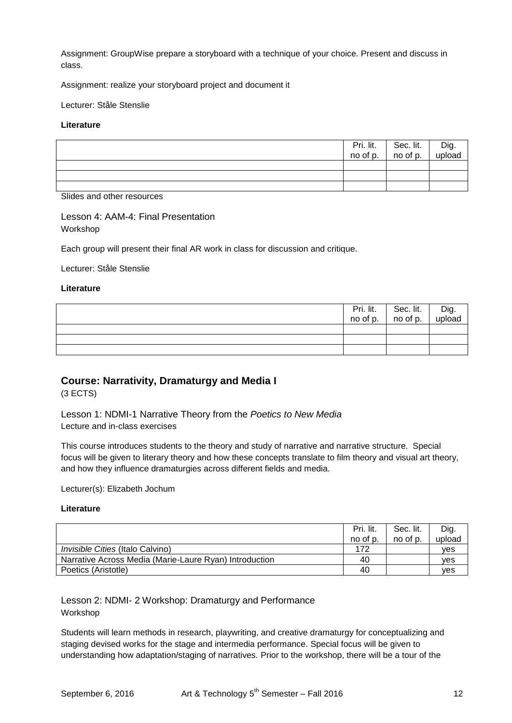Assignment: GroupWise prepare a storyboard with a technique of your choice. Present and discuss in class.

Assignment: realize your storyboard project and document it

Lecturer: Ståle Stenslie

#### **Literature**

|  | $\begin{array}{ c c c c c }\n\hline\n\text{Pri.} \quad \text{lit.} & \text{Sec.} \quad \text{lit.} \\ \text{no of p.} & \text{no of p.} \\ \hline\n\end{array}$ | Dig.<br>upload |
|--|-----------------------------------------------------------------------------------------------------------------------------------------------------------------|----------------|
|  |                                                                                                                                                                 |                |
|  |                                                                                                                                                                 |                |
|  |                                                                                                                                                                 |                |

Slides and other resources

Lesson 4: AAM-4: Final Presentation Workshop

Each group will present their final AR work in class for discussion and critique.

Lecturer: Ståle Stenslie

#### **Literature**

|  | Pri. lit. Sec. lit.<br>no of p. no of p. | l Dig.<br>upload |
|--|------------------------------------------|------------------|
|  |                                          |                  |
|  |                                          |                  |
|  |                                          |                  |

## **Course: Narrativity, Dramaturgy and Media I**

(3 ECTS)

Lesson 1: NDMI-1 Narrative Theory from the *Poetics to New Media* Lecture and in-class exercises

This course introduces students to the theory and study of narrative and narrative structure. Special focus will be given to literary theory and how these concepts translate to film theory and visual art theory, and how they influence dramaturgies across different fields and media.

Lecturer(s): Elizabeth Jochum

#### **Literature**

|                                                        | Pri. lit. | Sec. lit. | Dig.       |
|--------------------------------------------------------|-----------|-----------|------------|
|                                                        | no of p.  | no of p.  | upload     |
| <i>Invisible Cities</i> (Italo Calvino)                | 172       |           | ves        |
| Narrative Across Media (Marie-Laure Ryan) Introduction | 40        |           | <b>ves</b> |
| Poetics (Aristotle)                                    | 40        |           | <b>ves</b> |

Lesson 2: NDMI- 2 Workshop: Dramaturgy and Performance Workshop

Students will learn methods in research, playwriting, and creative dramaturgy for conceptualizing and staging devised works for the stage and intermedia performance. Special focus will be given to understanding how adaptation/staging of narratives. Prior to the workshop, there will be a tour of the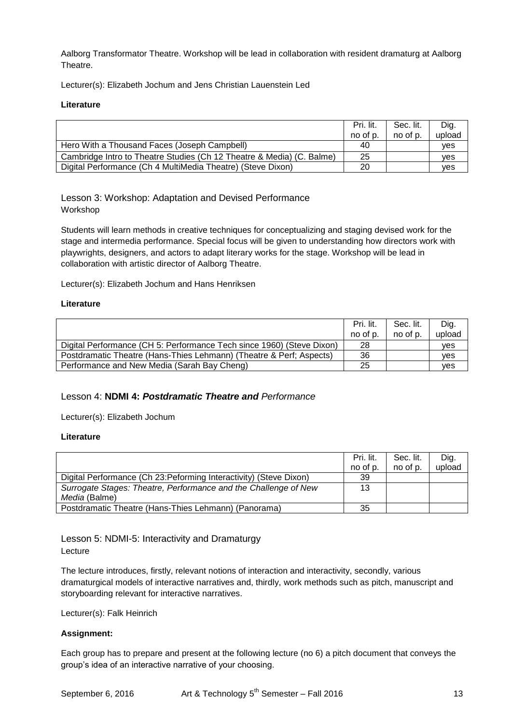Aalborg Transformator Theatre. Workshop will be lead in collaboration with resident dramaturg at Aalborg Theatre.

Lecturer(s): Elizabeth Jochum and Jens Christian Lauenstein Led

#### **Literature**

|                                                                       | Pri. lit. | Sec. lit. | Dig.       |
|-----------------------------------------------------------------------|-----------|-----------|------------|
|                                                                       | no of p.  | no of p.  | upload     |
| Hero With a Thousand Faces (Joseph Campbell)                          | 40        |           | <b>ves</b> |
| Cambridge Intro to Theatre Studies (Ch 12 Theatre & Media) (C. Balme) | 25        |           | ves        |
| Digital Performance (Ch 4 MultiMedia Theatre) (Steve Dixon)           | 20        |           | ves        |

## Lesson 3: Workshop: Adaptation and Devised Performance Workshop

Students will learn methods in creative techniques for conceptualizing and staging devised work for the stage and intermedia performance. Special focus will be given to understanding how directors work with playwrights, designers, and actors to adapt literary works for the stage. Workshop will be lead in collaboration with artistic director of Aalborg Theatre.

Lecturer(s): Elizabeth Jochum and Hans Henriksen

#### **Literature**

|                                                                       | Pri. lit.<br>no of p. | Sec. lit.<br>no of p. | Dig.<br>upload |
|-----------------------------------------------------------------------|-----------------------|-----------------------|----------------|
| Digital Performance (CH 5: Performance Tech since 1960) (Steve Dixon) | 28                    |                       | <b>ves</b>     |
| Postdramatic Theatre (Hans-Thies Lehmann) (Theatre & Perf; Aspects)   | 36                    |                       | ves            |
| Performance and New Media (Sarah Bay Cheng)                           | 25                    |                       | ves            |

## Lesson 4: **NDMI 4:** *Postdramatic Theatre and Performance*

Lecturer(s): Elizabeth Jochum

#### **Literature**

|                                                                    | Pri. lit. | Sec. lit. | Dig.   |
|--------------------------------------------------------------------|-----------|-----------|--------|
|                                                                    | no of p.  | no of p.  | upload |
| Digital Performance (Ch 23: Peforming Interactivity) (Steve Dixon) | 39        |           |        |
| Surrogate Stages: Theatre, Performance and the Challenge of New    | 13        |           |        |
| Media (Balme)                                                      |           |           |        |
| Postdramatic Theatre (Hans-Thies Lehmann) (Panorama)               | 35        |           |        |

Lesson 5: NDMI-5: Interactivity and Dramaturgy Lecture

The lecture introduces, firstly, relevant notions of interaction and interactivity, secondly, various dramaturgical models of interactive narratives and, thirdly, work methods such as pitch, manuscript and storyboarding relevant for interactive narratives.

Lecturer(s): Falk Heinrich

#### **Assignment:**

Each group has to prepare and present at the following lecture (no 6) a pitch document that conveys the group's idea of an interactive narrative of your choosing.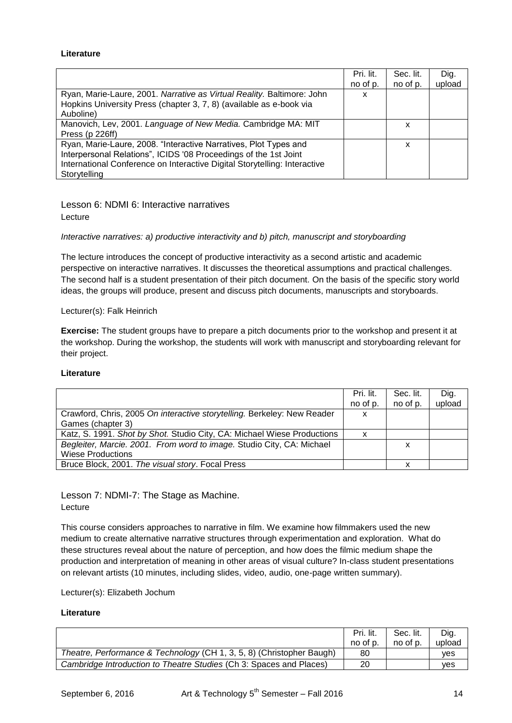#### **Literature**

|                                                                           | Pri. lit. | Sec. lit. | Dig.   |
|---------------------------------------------------------------------------|-----------|-----------|--------|
|                                                                           | no of p.  | no of p.  | upload |
| Ryan, Marie-Laure, 2001. Narrative as Virtual Reality. Baltimore: John    | x         |           |        |
| Hopkins University Press (chapter 3, 7, 8) (available as e-book via       |           |           |        |
| Auboline)                                                                 |           |           |        |
| Manovich, Lev, 2001. Language of New Media. Cambridge MA: MIT             |           | x         |        |
| Press (p 226ff)                                                           |           |           |        |
| Ryan, Marie-Laure, 2008. "Interactive Narratives, Plot Types and          |           | x         |        |
| Interpersonal Relations", ICIDS '08 Proceedings of the 1st Joint          |           |           |        |
| International Conference on Interactive Digital Storytelling: Interactive |           |           |        |
| Storytelling                                                              |           |           |        |

Lesson 6: NDMI 6: Interactive narratives Lecture

#### *Interactive narratives: a) productive interactivity and b) pitch, manuscript and storyboarding*

The lecture introduces the concept of productive interactivity as a second artistic and academic perspective on interactive narratives. It discusses the theoretical assumptions and practical challenges. The second half is a student presentation of their pitch document. On the basis of the specific story world ideas, the groups will produce, present and discuss pitch documents, manuscripts and storyboards.

Lecturer(s): Falk Heinrich

**Exercise:** The student groups have to prepare a pitch documents prior to the workshop and present it at the workshop. During the workshop, the students will work with manuscript and storyboarding relevant for their project.

#### **Literature**

|                                                                         | Pri. lit. | Sec. lit. | Dig.   |
|-------------------------------------------------------------------------|-----------|-----------|--------|
|                                                                         | no of p.  | no of p.  | upload |
| Crawford, Chris, 2005 On interactive storytelling. Berkeley: New Reader | X         |           |        |
| Games (chapter 3)                                                       |           |           |        |
| Katz, S. 1991. Shot by Shot. Studio City, CA: Michael Wiese Productions | x         |           |        |
| Begleiter, Marcie. 2001. From word to image. Studio City, CA: Michael   |           | х         |        |
| <b>Wiese Productions</b>                                                |           |           |        |
| Bruce Block, 2001. The visual story. Focal Press                        |           |           |        |

Lesson 7: NDMI-7: The Stage as Machine. Lecture

This course considers approaches to narrative in film. We examine how filmmakers used the new medium to create alternative narrative structures through experimentation and exploration. What do these structures reveal about the nature of perception, and how does the filmic medium shape the production and interpretation of meaning in other areas of visual culture? In-class student presentations on relevant artists (10 minutes, including slides, video, audio, one-page written summary).

Lecturer(s): Elizabeth Jochum

|                                                                       | Pri. lit. | Sec. lit. | Dig.       |
|-----------------------------------------------------------------------|-----------|-----------|------------|
|                                                                       | no of p.  | no of p.  | upload     |
| Theatre, Performance & Technology (CH 1, 3, 5, 8) (Christopher Baugh) | 80        |           | <b>ves</b> |
| Cambridge Introduction to Theatre Studies (Ch 3: Spaces and Places)   | 20        |           | ves        |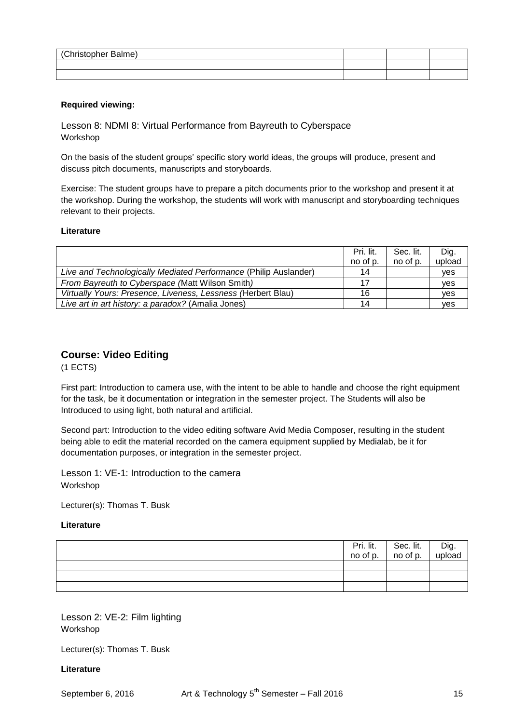| (Christopher Balme) |  |  |
|---------------------|--|--|
|                     |  |  |
|                     |  |  |
|                     |  |  |
|                     |  |  |

#### **Required viewing:**

Lesson 8: NDMI 8: Virtual Performance from Bayreuth to Cyberspace Workshop

On the basis of the student groups' specific story world ideas, the groups will produce, present and discuss pitch documents, manuscripts and storyboards.

Exercise: The student groups have to prepare a pitch documents prior to the workshop and present it at the workshop. During the workshop, the students will work with manuscript and storyboarding techniques relevant to their projects.

#### **Literature**

|                                                                  | Pri. lit. | Sec. lit. | Dig.       |
|------------------------------------------------------------------|-----------|-----------|------------|
|                                                                  | no of p.  | no of p.  | upload     |
| Live and Technologically Mediated Performance (Philip Auslander) | 14        |           | <b>ves</b> |
| From Bayreuth to Cyberspace (Matt Wilson Smith)                  | 17        |           | ves        |
| Virtually Yours: Presence, Liveness, Lessness (Herbert Blau)     | 16        |           | ves        |
| Live art in art history: a paradox? (Amalia Jones)               | 14        |           | ves        |

## **Course: Video Editing**

(1 ECTS)

First part: Introduction to camera use, with the intent to be able to handle and choose the right equipment for the task, be it documentation or integration in the semester project. The Students will also be Introduced to using light, both natural and artificial.

Second part: Introduction to the video editing software Avid Media Composer, resulting in the student being able to edit the material recorded on the camera equipment supplied by Medialab, be it for documentation purposes, or integration in the semester project.

Lesson 1: VE-1: Introduction to the camera Workshop

Lecturer(s): Thomas T. Busk

#### **Literature**

|  | $\begin{array}{ c c c c c }\n\hline\n\text{Pri.} & \text{lit.} & \text{Sec.} & \text{lit.} \\ \text{no of p.} & \text{no of p.} & \end{array}$ | Dig.<br>upload |
|--|------------------------------------------------------------------------------------------------------------------------------------------------|----------------|
|  |                                                                                                                                                |                |
|  |                                                                                                                                                |                |
|  |                                                                                                                                                |                |

Lesson 2: VE-2: Film lighting Workshop

Lecturer(s): Thomas T. Busk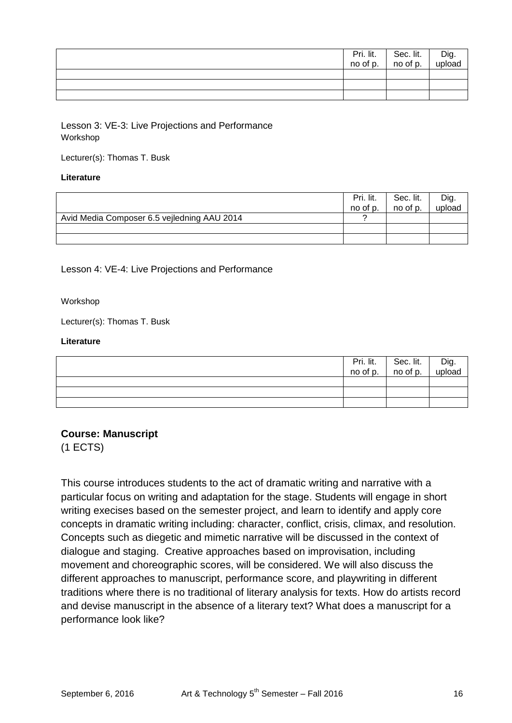|  | $\overline{Pri.}$ lit. Sec. lit. no of p. | Dig.<br>upload |
|--|-------------------------------------------|----------------|
|  |                                           |                |
|  |                                           |                |
|  |                                           |                |

Lesson 3: VE-3: Live Projections and Performance Workshop

Lecturer(s): Thomas T. Busk

## **Literature**

|                                             | Pri. lit.<br>no of p. | Sec. lit.<br>no of p. | Dig.<br>upload |
|---------------------------------------------|-----------------------|-----------------------|----------------|
| Avid Media Composer 6.5 vejledning AAU 2014 |                       |                       |                |
|                                             |                       |                       |                |
|                                             |                       |                       |                |

Lesson 4: VE-4: Live Projections and Performance

## Workshop

Lecturer(s): Thomas T. Busk

## **Literature**

| Pri. lit. I<br>no of p. | Sec. lit.<br>no of p. | Dig.<br>upload |
|-------------------------|-----------------------|----------------|
|                         |                       |                |
|                         |                       |                |
|                         |                       |                |

**Course: Manuscript**  (1 ECTS)

This course introduces students to the act of dramatic writing and narrative with a particular focus on writing and adaptation for the stage. Students will engage in short writing execises based on the semester project, and learn to identify and apply core concepts in dramatic writing including: character, conflict, crisis, climax, and resolution. Concepts such as diegetic and mimetic narrative will be discussed in the context of dialogue and staging. Creative approaches based on improvisation, including movement and choreographic scores, will be considered. We will also discuss the different approaches to manuscript, performance score, and playwriting in different traditions where there is no traditional of literary analysis for texts. How do artists record and devise manuscript in the absence of a literary text? What does a manuscript for a performance look like?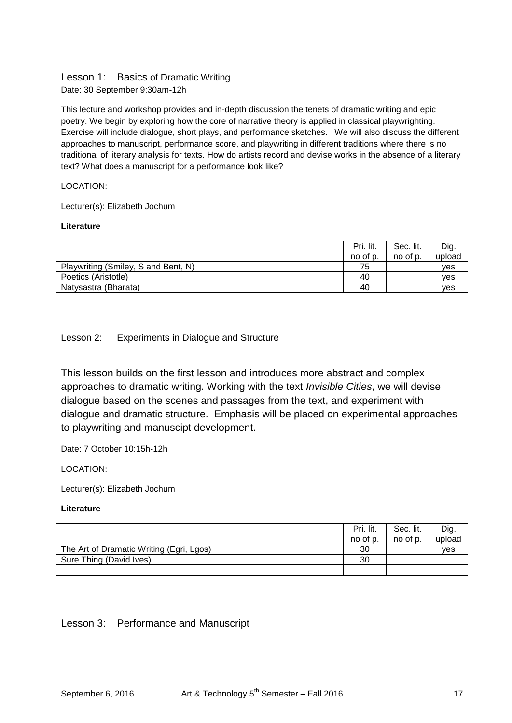## Lesson 1: Basics of Dramatic Writing

Date: 30 September 9:30am-12h

This lecture and workshop provides and in-depth discussion the tenets of dramatic writing and epic poetry. We begin by exploring how the core of narrative theory is applied in classical playwrighting. Exercise will include dialogue, short plays, and performance sketches. We will also discuss the different approaches to manuscript, performance score, and playwriting in different traditions where there is no traditional of literary analysis for texts. How do artists record and devise works in the absence of a literary text? What does a manuscript for a performance look like?

## LOCATION:

Lecturer(s): Elizabeth Jochum

## **Literature**

|                                     | Pri. lit.<br>no of p. | Sec. lit.<br>no of p. | Dig.<br>upload |
|-------------------------------------|-----------------------|-----------------------|----------------|
| Playwriting (Smiley, S and Bent, N) | 75                    |                       | ves            |
| Poetics (Aristotle)                 | 40                    |                       | ves            |
| Natysastra (Bharata)                | 40                    |                       | ves            |

## Lesson 2: Experiments in Dialogue and Structure

This lesson builds on the first lesson and introduces more abstract and complex approaches to dramatic writing. Working with the text *Invisible Cities*, we will devise dialogue based on the scenes and passages from the text, and experiment with dialogue and dramatic structure. Emphasis will be placed on experimental approaches to playwriting and manuscipt development.

Date: 7 October 10:15h-12h

LOCATION:

Lecturer(s): Elizabeth Jochum

#### **Literature**

|                                          | Pri. lit. | Sec. lit. | Dig.   |
|------------------------------------------|-----------|-----------|--------|
|                                          | no of p.  | no of p.  | upload |
| The Art of Dramatic Writing (Egri, Lgos) | 30        |           | ves    |
| Sure Thing (David Ives)                  | 30        |           |        |
|                                          |           |           |        |

## Lesson 3: Performance and Manuscript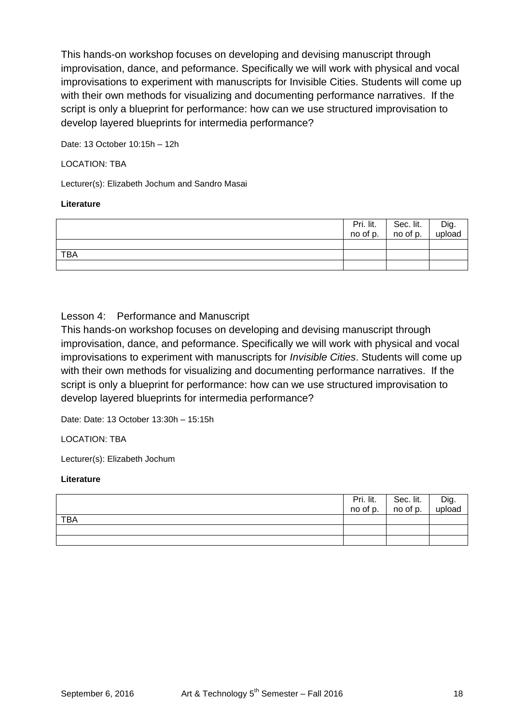This hands-on workshop focuses on developing and devising manuscript through improvisation, dance, and peformance. Specifically we will work with physical and vocal improvisations to experiment with manuscripts for Invisible Cities. Students will come up with their own methods for visualizing and documenting performance narratives. If the script is only a blueprint for performance: how can we use structured improvisation to develop layered blueprints for intermedia performance?

Date: 13 October 10:15h – 12h

## LOCATION: TBA

Lecturer(s): Elizabeth Jochum and Sandro Masai

## **Literature**

|            | Pri. lit.<br>no of p. | Sec. lit.<br>no of p. | Dig.<br>upload |
|------------|-----------------------|-----------------------|----------------|
|            |                       |                       |                |
|            |                       |                       |                |
| <b>TBA</b> |                       |                       |                |
|            |                       |                       |                |

## Lesson 4: Performance and Manuscript

This hands-on workshop focuses on developing and devising manuscript through improvisation, dance, and peformance. Specifically we will work with physical and vocal improvisations to experiment with manuscripts for *Invisible Cities*. Students will come up with their own methods for visualizing and documenting performance narratives. If the script is only a blueprint for performance: how can we use structured improvisation to develop layered blueprints for intermedia performance?

Date: Date: 13 October 13:30h – 15:15h

LOCATION: TBA

Lecturer(s): Elizabeth Jochum

|            | $\begin{array}{ c c c c c }\n\hline\n\text{Pri.} & \text{lit.} & \text{Sec.} & \text{lit.} \\ \text{no of p.} & \text{no of p.} & \end{array}$ | l Dig.<br>upload |
|------------|------------------------------------------------------------------------------------------------------------------------------------------------|------------------|
| <b>TBA</b> |                                                                                                                                                |                  |
|            |                                                                                                                                                |                  |
|            |                                                                                                                                                |                  |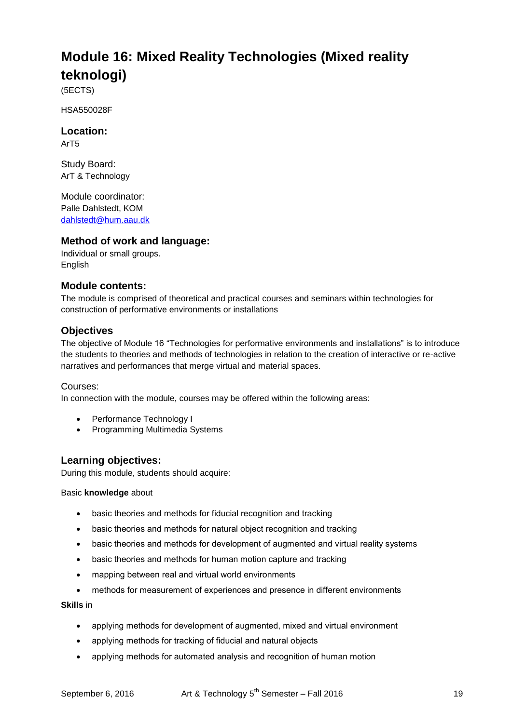# **Module 16: Mixed Reality Technologies (Mixed reality teknologi)**

(5ECTS)

HSA550028F

**Location:**

ArT5

Study Board: ArT & Technology

Module coordinator: Palle Dahlstedt, KOM [dahlstedt@hum.aau.dk](mailto:dahlstedt@hum.aau.dk)

## **Method of work and language:**

Individual or small groups. English

## **Module contents:**

The module is comprised of theoretical and practical courses and seminars within technologies for construction of performative environments or installations

## **Objectives**

The objective of Module 16 "Technologies for performative environments and installations" is to introduce the students to theories and methods of technologies in relation to the creation of interactive or re-active narratives and performances that merge virtual and material spaces.

## Courses:

In connection with the module, courses may be offered within the following areas:

- Performance Technology I
- Programming Multimedia Systems

## **Learning objectives:**

During this module, students should acquire:

Basic **knowledge** about

- basic theories and methods for fiducial recognition and tracking
- basic theories and methods for natural object recognition and tracking
- basic theories and methods for development of augmented and virtual reality systems
- basic theories and methods for human motion capture and tracking
- mapping between real and virtual world environments
- methods for measurement of experiences and presence in different environments

**Skills** in

- applying methods for development of augmented, mixed and virtual environment
- applying methods for tracking of fiducial and natural objects
- applying methods for automated analysis and recognition of human motion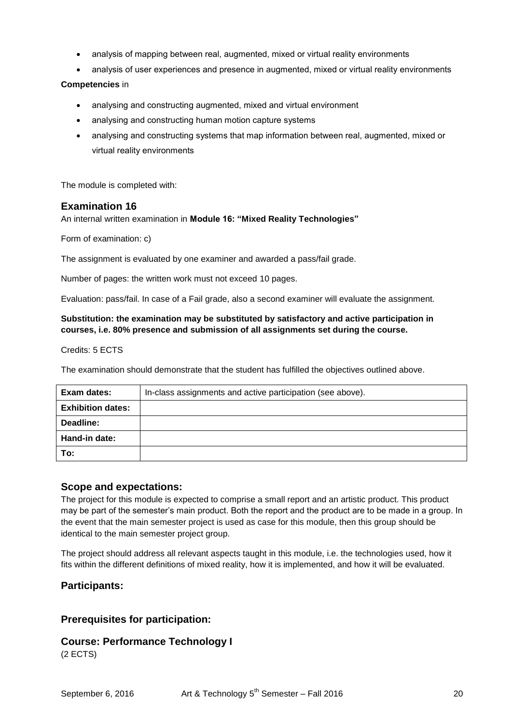- analysis of mapping between real, augmented, mixed or virtual reality environments
- analysis of user experiences and presence in augmented, mixed or virtual reality environments

## **Competencies** in

- analysing and constructing augmented, mixed and virtual environment
- analysing and constructing human motion capture systems
- analysing and constructing systems that map information between real, augmented, mixed or virtual reality environments

The module is completed with:

## **Examination 16**

An internal written examination in **Module 16: "Mixed Reality Technologies"**

Form of examination: c)

The assignment is evaluated by one examiner and awarded a pass/fail grade.

Number of pages: the written work must not exceed 10 pages.

Evaluation: pass/fail. In case of a Fail grade, also a second examiner will evaluate the assignment.

## **Substitution: the examination may be substituted by satisfactory and active participation in courses, i.e. 80% presence and submission of all assignments set during the course.**

Credits: 5 ECTS

The examination should demonstrate that the student has fulfilled the objectives outlined above.

| Exam dates:              | In-class assignments and active participation (see above). |
|--------------------------|------------------------------------------------------------|
| <b>Exhibition dates:</b> |                                                            |
| Deadline:                |                                                            |
| Hand-in date:            |                                                            |
| To:                      |                                                            |

## **Scope and expectations:**

The project for this module is expected to comprise a small report and an artistic product. This product may be part of the semester's main product. Both the report and the product are to be made in a group. In the event that the main semester project is used as case for this module, then this group should be identical to the main semester project group.

The project should address all relevant aspects taught in this module, i.e. the technologies used, how it fits within the different definitions of mixed reality, how it is implemented, and how it will be evaluated.

## **Participants:**

## **Prerequisites for participation:**

## **Course: Performance Technology I**

(2 ECTS)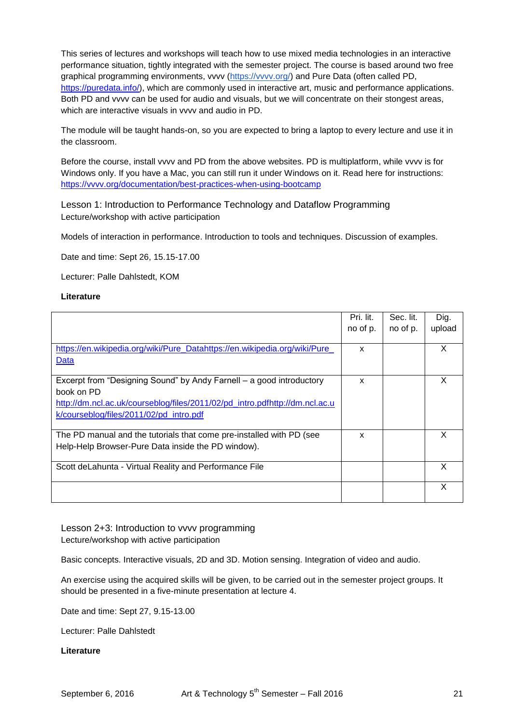This series of lectures and workshops will teach how to use mixed media technologies in an interactive performance situation, tightly integrated with the semester project. The course is based around two free graphical programming environments, vvvv [\(https://vvvv.org/\)](https://vvvv.org/) and Pure Data (often called PD, [https://puredata.info/\)](https://puredata.info/), which are commonly used in interactive art, music and performance applications. Both PD and vvvv can be used for audio and visuals, but we will concentrate on their stongest areas, which are interactive visuals in vvvv and audio in PD.

The module will be taught hands-on, so you are expected to bring a laptop to every lecture and use it in the classroom.

Before the course, install vvvv and PD from the above websites. PD is multiplatform, while vvvv is for Windows only. If you have a Mac, you can still run it under Windows on it. Read here for instructions: <https://vvvv.org/documentation/best-practices-when-using-bootcamp>

Lesson 1: Introduction to Performance Technology and Dataflow Programming Lecture/workshop with active participation

Models of interaction in performance. Introduction to tools and techniques. Discussion of examples.

Date and time: Sept 26, 15.15-17.00

Lecturer: Palle Dahlstedt, KOM

#### **Literature**

|                                                                             | Pri. lit. | Sec. lit. | Dig.   |
|-----------------------------------------------------------------------------|-----------|-----------|--------|
|                                                                             | no of p.  | no of p.  | upload |
|                                                                             |           |           |        |
| https://en.wikipedia.org/wiki/Pure_Datahttps://en.wikipedia.org/wiki/Pure_  | X         |           | X      |
| Data                                                                        |           |           |        |
|                                                                             |           |           |        |
| Excerpt from "Designing Sound" by Andy Farnell – a good introductory        | X         |           | x      |
| book on PD                                                                  |           |           |        |
| http://dm.ncl.ac.uk/courseblog/files/2011/02/pd_intro.pdfhttp://dm.ncl.ac.u |           |           |        |
| k/courseblog/files/2011/02/pd intro.pdf                                     |           |           |        |
|                                                                             |           |           |        |
| The PD manual and the tutorials that come pre-installed with PD (see        | x         |           | X      |
| Help-Help Browser-Pure Data inside the PD window).                          |           |           |        |
|                                                                             |           |           |        |
| Scott deLahunta - Virtual Reality and Performance File                      |           |           | X      |
|                                                                             |           |           |        |
|                                                                             |           |           | X      |
|                                                                             |           |           |        |

Lesson 2+3: Introduction to vvvv programming Lecture/workshop with active participation

Basic concepts. Interactive visuals, 2D and 3D. Motion sensing. Integration of video and audio.

An exercise using the acquired skills will be given, to be carried out in the semester project groups. It should be presented in a five-minute presentation at lecture 4.

Date and time: Sept 27, 9.15-13.00

Lecturer: Palle Dahlstedt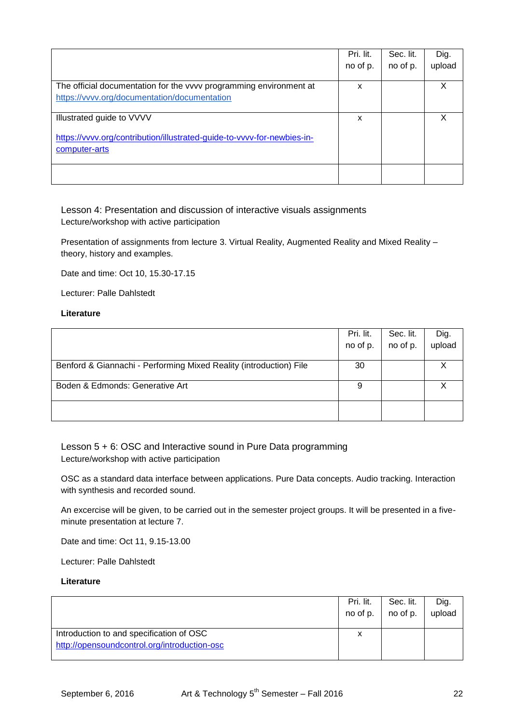|                                                                         | Pri. lit. | Sec. lit. | Dig.   |
|-------------------------------------------------------------------------|-----------|-----------|--------|
|                                                                         | no of p.  | no of p.  | upload |
|                                                                         |           |           |        |
| The official documentation for the vvvv programming environment at      | x         |           | X      |
| https://vvvv.org/documentation/documentation                            |           |           |        |
|                                                                         |           |           |        |
| Illustrated guide to VVVV                                               | x         |           | x      |
|                                                                         |           |           |        |
| https://vvvv.org/contribution/illustrated-guide-to-vvvv-for-newbies-in- |           |           |        |
| computer-arts                                                           |           |           |        |
|                                                                         |           |           |        |
|                                                                         |           |           |        |
|                                                                         |           |           |        |

Lesson 4: Presentation and discussion of interactive visuals assignments Lecture/workshop with active participation

Presentation of assignments from lecture 3. Virtual Reality, Augmented Reality and Mixed Reality – theory, history and examples.

Date and time: Oct 10, 15.30-17.15

Lecturer: Palle Dahlstedt

#### **Literature**

|                                                                    | Pri. lit. | Sec. lit. | Dig.   |
|--------------------------------------------------------------------|-----------|-----------|--------|
|                                                                    | no of p.  | no of p.  | upload |
|                                                                    |           |           |        |
| Benford & Giannachi - Performing Mixed Reality (introduction) File | 30        |           |        |
| Boden & Edmonds: Generative Art                                    | 9         |           |        |
|                                                                    |           |           |        |

Lesson 5 + 6: OSC and Interactive sound in Pure Data programming Lecture/workshop with active participation

OSC as a standard data interface between applications. Pure Data concepts. Audio tracking. Interaction with synthesis and recorded sound.

An excercise will be given, to be carried out in the semester project groups. It will be presented in a fiveminute presentation at lecture 7.

Date and time: Oct 11, 9.15-13.00

Lecturer: Palle Dahlstedt

|                                              | Pri. lit.<br>no of p. | Sec. lit.<br>no of p. | Dig.<br>upload |
|----------------------------------------------|-----------------------|-----------------------|----------------|
| Introduction to and specification of OSC     | x                     |                       |                |
| http://opensoundcontrol.org/introduction-osc |                       |                       |                |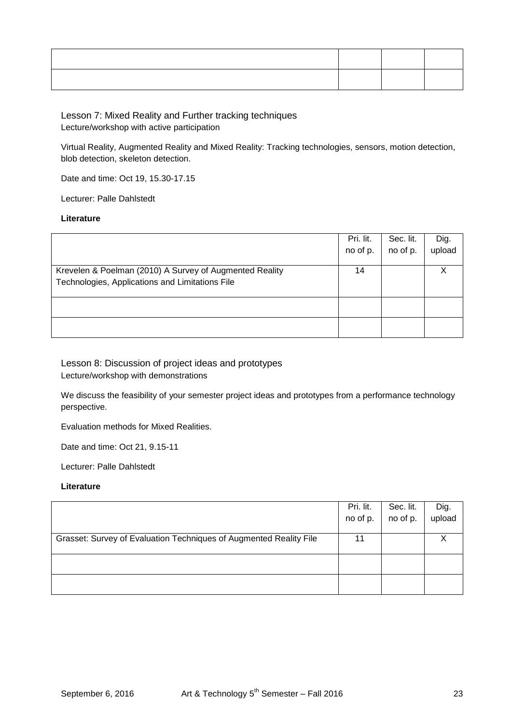Lesson 7: Mixed Reality and Further tracking techniques Lecture/workshop with active participation

Virtual Reality, Augmented Reality and Mixed Reality: Tracking technologies, sensors, motion detection, blob detection, skeleton detection.

Date and time: Oct 19, 15.30-17.15

Lecturer: Palle Dahlstedt

#### **Literature**

|                                                         | Pri. lit. | Sec. lit. | Dig.   |
|---------------------------------------------------------|-----------|-----------|--------|
|                                                         | no of p.  | no of p.  | upload |
|                                                         |           |           |        |
| Krevelen & Poelman (2010) A Survey of Augmented Reality | 14        |           |        |
| Technologies, Applications and Limitations File         |           |           |        |
|                                                         |           |           |        |
|                                                         |           |           |        |
|                                                         |           |           |        |
|                                                         |           |           |        |
|                                                         |           |           |        |

Lesson 8: Discussion of project ideas and prototypes Lecture/workshop with demonstrations

We discuss the feasibility of your semester project ideas and prototypes from a performance technology perspective.

Evaluation methods for Mixed Realities.

Date and time: Oct 21, 9.15-11

Lecturer: Palle Dahlstedt

|                                                                    | Pri. lit. | Sec. lit. | Dig.   |
|--------------------------------------------------------------------|-----------|-----------|--------|
|                                                                    | no of p.  | no of p.  | upload |
|                                                                    |           |           |        |
| Grasset: Survey of Evaluation Techniques of Augmented Reality File | 11        |           |        |
|                                                                    |           |           |        |
|                                                                    |           |           |        |
|                                                                    |           |           |        |
|                                                                    |           |           |        |
|                                                                    |           |           |        |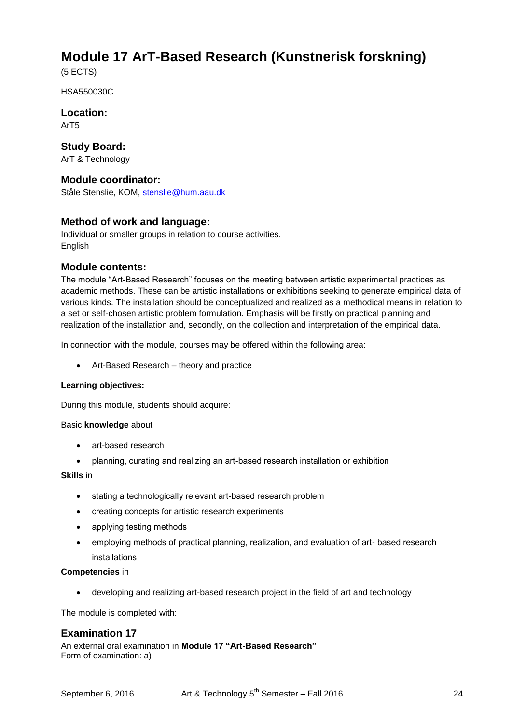## **Module 17 ArT-Based Research (Kunstnerisk forskning)**

(5 ECTS)

HSA550030C

**Location:** ArT5

**Study Board:** ArT & Technology

## **Module coordinator:**

Ståle Stenslie, KOM, [stenslie@hum.aau.dk](mailto:stenslie@hum.aau.dk)

## **Method of work and language:**

Individual or smaller groups in relation to course activities. English

## **Module contents:**

The module "Art-Based Research" focuses on the meeting between artistic experimental practices as academic methods. These can be artistic installations or exhibitions seeking to generate empirical data of various kinds. The installation should be conceptualized and realized as a methodical means in relation to a set or self-chosen artistic problem formulation. Emphasis will be firstly on practical planning and realization of the installation and, secondly, on the collection and interpretation of the empirical data.

In connection with the module, courses may be offered within the following area:

Art-Based Research – theory and practice

#### **Learning objectives:**

During this module, students should acquire:

#### Basic **knowledge** about

- art-based research
- planning, curating and realizing an art-based research installation or exhibition

## **Skills** in

- stating a technologically relevant art-based research problem
- creating concepts for artistic research experiments
- applying testing methods
- employing methods of practical planning, realization, and evaluation of art- based research installations

#### **Competencies** in

developing and realizing art-based research project in the field of art and technology

The module is completed with:

## **Examination 17**

An external oral examination in **Module 17 "Art-Based Research"** Form of examination: a)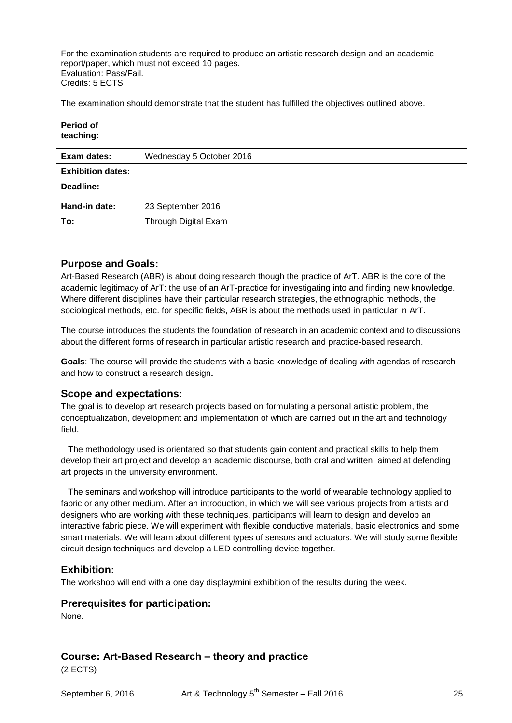For the examination students are required to produce an artistic research design and an academic report/paper, which must not exceed 10 pages. Evaluation: Pass/Fail. Credits: 5 ECTS

The examination should demonstrate that the student has fulfilled the objectives outlined above.

| Period of<br>teaching:   |                          |
|--------------------------|--------------------------|
| Exam dates:              | Wednesday 5 October 2016 |
| <b>Exhibition dates:</b> |                          |
| Deadline:                |                          |
| Hand-in date:            | 23 September 2016        |
| To:                      | Through Digital Exam     |

## **Purpose and Goals:**

Art-Based Research (ABR) is about doing research though the practice of ArT. ABR is the core of the academic legitimacy of ArT: the use of an ArT-practice for investigating into and finding new knowledge. Where different disciplines have their particular research strategies, the ethnographic methods, the sociological methods, etc. for specific fields, ABR is about the methods used in particular in ArT.

The course introduces the students the foundation of research in an academic context and to discussions about the different forms of research in particular artistic research and practice-based research.

**Goals**: The course will provide the students with a basic knowledge of dealing with agendas of research and how to construct a research design**.**

## **Scope and expectations:**

The goal is to develop art research projects based on formulating a personal artistic problem, the conceptualization, development and implementation of which are carried out in the art and technology field.

 The methodology used is orientated so that students gain content and practical skills to help them develop their art project and develop an academic discourse, both oral and written, aimed at defending art projects in the university environment.

 The seminars and workshop will introduce participants to the world of wearable technology applied to fabric or any other medium. After an introduction, in which we will see various projects from artists and designers who are working with these techniques, participants will learn to design and develop an interactive fabric piece. We will experiment with flexible conductive materials, basic electronics and some smart materials. We will learn about different types of sensors and actuators. We will study some flexible circuit design techniques and develop a LED controlling device together.

## **Exhibition:**

The workshop will end with a one day display/mini exhibition of the results during the week.

## **Prerequisites for participation:**

None.

## **Course: Art-Based Research – theory and practice**

(2 ECTS)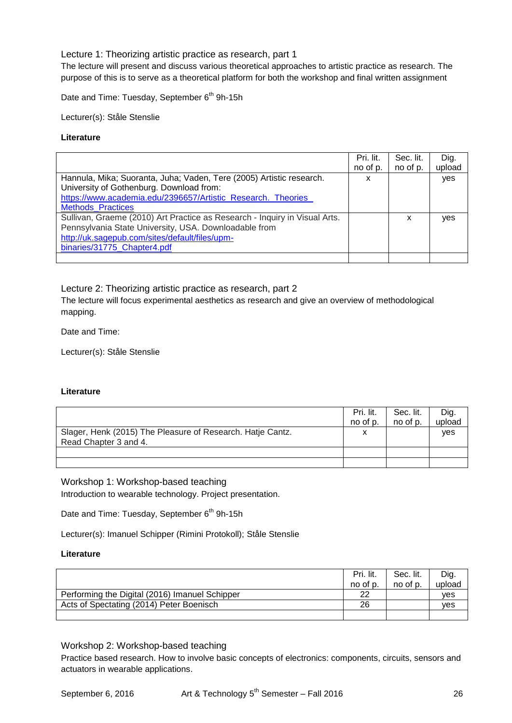## Lecture 1: Theorizing artistic practice as research, part 1

The lecture will present and discuss various theoretical approaches to artistic practice as research. The purpose of this is to serve as a theoretical platform for both the workshop and final written assignment

Date and Time: Tuesday, September 6<sup>th</sup> 9h-15h

Lecturer(s): Ståle Stenslie

#### **Literature**

|                                                                            | Pri. lit. | Sec. lit. | Dig.   |
|----------------------------------------------------------------------------|-----------|-----------|--------|
|                                                                            | no of p.  | no of p.  | upload |
| Hannula, Mika; Suoranta, Juha; Vaden, Tere (2005) Artistic research.       | x         |           | yes    |
| University of Gothenburg. Download from:                                   |           |           |        |
| https://www.academia.edu/2396657/Artistic_Research._Theories_              |           |           |        |
| <b>Methods Practices</b>                                                   |           |           |        |
| Sullivan, Graeme (2010) Art Practice as Research - Inquiry in Visual Arts. |           | x         | ves    |
| Pennsylvania State University, USA. Downloadable from                      |           |           |        |
| http://uk.sagepub.com/sites/default/files/upm-                             |           |           |        |
| binaries/31775 Chapter4.pdf                                                |           |           |        |
|                                                                            |           |           |        |

## Lecture 2: Theorizing artistic practice as research, part 2

The lecture will focus experimental aesthetics as research and give an overview of methodological mapping.

Date and Time:

Lecturer(s): Ståle Stenslie

#### **Literature**

|                                                            | Pri. lit. | Sec. lit. | Dig.   |
|------------------------------------------------------------|-----------|-----------|--------|
|                                                            | no of p.  | no of p.  | upload |
| Slager, Henk (2015) The Pleasure of Research. Hatje Cantz. |           |           | ves    |
| Read Chapter 3 and 4.                                      |           |           |        |
|                                                            |           |           |        |
|                                                            |           |           |        |

## Workshop 1: Workshop-based teaching

Introduction to wearable technology. Project presentation.

Date and Time: Tuesday, September 6<sup>th</sup> 9h-15h

Lecturer(s): Imanuel Schipper (Rimini Protokoll); Ståle Stenslie

#### **Literature**

|                                                | Pri. lit.<br>no of p. | Sec. lit.<br>no of p. | Dig.<br>upload |
|------------------------------------------------|-----------------------|-----------------------|----------------|
|                                                |                       |                       |                |
| Performing the Digital (2016) Imanuel Schipper | 22                    |                       | ves            |
| Acts of Spectating (2014) Peter Boenisch       | 26                    |                       | ves            |
|                                                |                       |                       |                |

#### Workshop 2: Workshop-based teaching

Practice based research. How to involve basic concepts of electronics: components, circuits, sensors and actuators in wearable applications.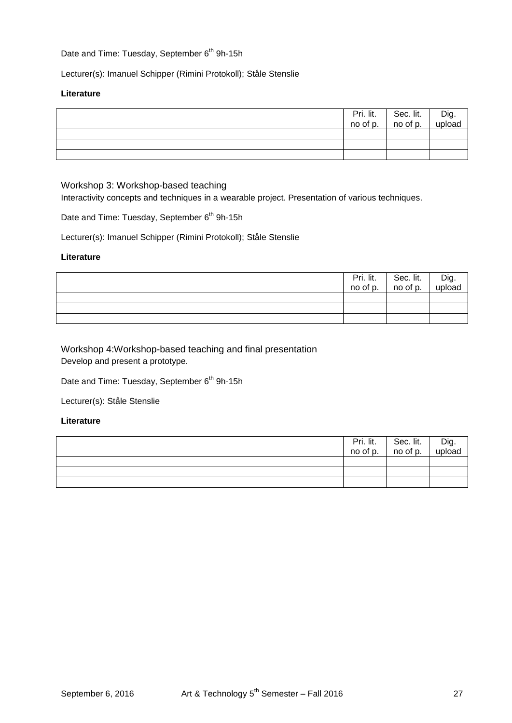## Date and Time: Tuesday, September 6<sup>th</sup> 9h-15h

Lecturer(s): Imanuel Schipper (Rimini Protokoll); Ståle Stenslie

#### **Literature**

|  | Pri. lit. Sec. lit. Dig.<br>no of p. no of p. upload |  |
|--|------------------------------------------------------|--|
|  |                                                      |  |
|  |                                                      |  |
|  |                                                      |  |

Workshop 3: Workshop-based teaching

Interactivity concepts and techniques in a wearable project. Presentation of various techniques.

Date and Time: Tuesday, September 6<sup>th</sup> 9h-15h

Lecturer(s): Imanuel Schipper (Rimini Protokoll); Ståle Stenslie

#### **Literature**

| Pri. lit.<br>no of p. | Sec. lit.<br>no of p. | Dig.<br>upload |
|-----------------------|-----------------------|----------------|
|                       |                       |                |
|                       |                       |                |
|                       |                       |                |

Workshop 4:Workshop-based teaching and final presentation Develop and present a prototype.

Date and Time: Tuesday, September 6<sup>th</sup> 9h-15h

Lecturer(s): Ståle Stenslie

|  | Pri. lit. Sec. lit.<br>no of p. no of p. | Dig.<br>upload |
|--|------------------------------------------|----------------|
|  |                                          |                |
|  |                                          |                |
|  |                                          |                |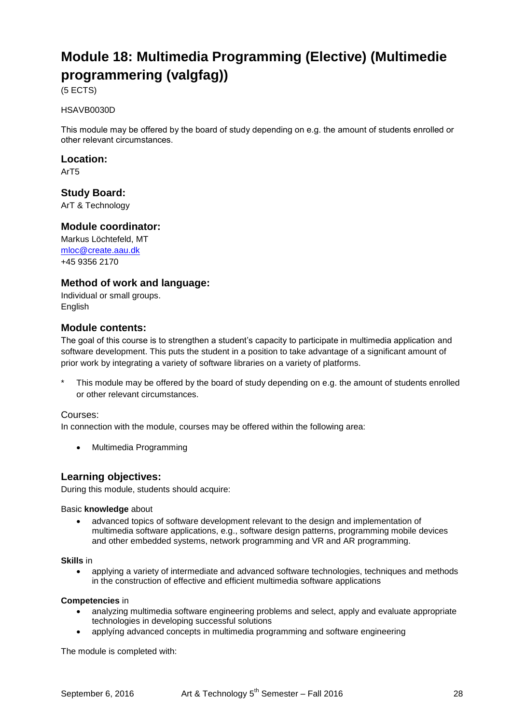# **Module 18: Multimedia Programming (Elective) (Multimedie programmering (valgfag))**

(5 ECTS)

#### HSAVB0030D

This module may be offered by the board of study depending on e.g. the amount of students enrolled or other relevant circumstances.

#### **Location:**

ArT5

## **Study Board:**

ArT & Technology

## **Module coordinator:**

Markus Löchtefeld, MT [mloc@create.aau.dk](mailto:lp@create.aau.dk) +45 9356 2170

## **Method of work and language:**

Individual or small groups. **English** 

## **Module contents:**

The goal of this course is to strengthen a student's capacity to participate in multimedia application and software development. This puts the student in a position to take advantage of a significant amount of prior work by integrating a variety of software libraries on a variety of platforms.

This module may be offered by the board of study depending on e.g. the amount of students enrolled or other relevant circumstances.

#### Courses:

In connection with the module, courses may be offered within the following area:

Multimedia Programming

## **Learning objectives:**

During this module, students should acquire:

#### Basic **knowledge** about

 advanced topics of software development relevant to the design and implementation of multimedia software applications, e.g., software design patterns, programming mobile devices and other embedded systems, network programming and VR and AR programming.

## **Skills** in

 applying a variety of intermediate and advanced software technologies, techniques and methods in the construction of effective and efficient multimedia software applications

#### **Competencies** in

- analyzing multimedia software engineering problems and select, apply and evaluate appropriate technologies in developing successful solutions
- applying advanced concepts in multimedia programming and software engineering

The module is completed with: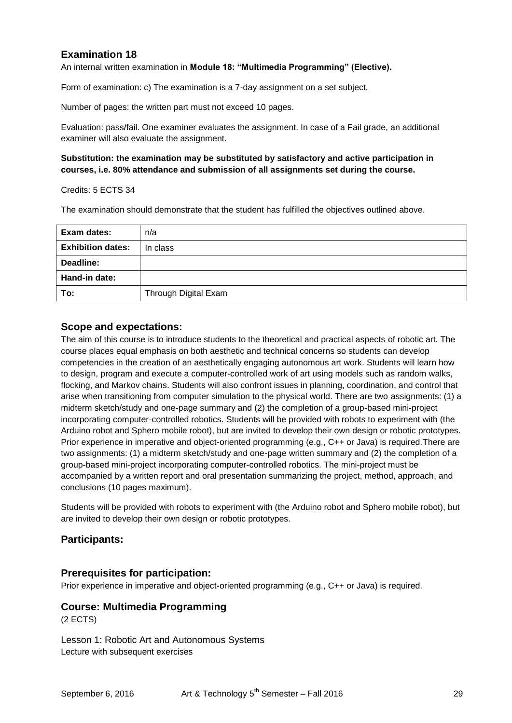## **Examination 18**

An internal written examination in **Module 18: "Multimedia Programming" (Elective).** 

Form of examination: c) The examination is a 7-day assignment on a set subject.

Number of pages: the written part must not exceed 10 pages.

Evaluation: pass/fail. One examiner evaluates the assignment. In case of a Fail grade, an additional examiner will also evaluate the assignment.

#### **Substitution: the examination may be substituted by satisfactory and active participation in courses, i.e. 80% attendance and submission of all assignments set during the course.**

Credits: 5 ECTS 34

The examination should demonstrate that the student has fulfilled the objectives outlined above.

| Exam dates:              | n/a                  |
|--------------------------|----------------------|
| <b>Exhibition dates:</b> | In class             |
| Deadline:                |                      |
| Hand-in date:            |                      |
| To:                      | Through Digital Exam |

## **Scope and expectations:**

The aim of this course is to introduce students to the theoretical and practical aspects of robotic art. The course places equal emphasis on both aesthetic and technical concerns so students can develop competencies in the creation of an aesthetically engaging autonomous art work. Students will learn how to design, program and execute a computer-controlled work of art using models such as random walks, flocking, and Markov chains. Students will also confront issues in planning, coordination, and control that arise when transitioning from computer simulation to the physical world. There are two assignments: (1) a midterm sketch/study and one-page summary and (2) the completion of a group-based mini-project incorporating computer-controlled robotics. Students will be provided with robots to experiment with (the Arduino robot and Sphero mobile robot), but are invited to develop their own design or robotic prototypes. Prior experience in imperative and object-oriented programming (e.g., C++ or Java) is required.There are two assignments: (1) a midterm sketch/study and one-page written summary and (2) the completion of a group-based mini-project incorporating computer-controlled robotics. The mini-project must be accompanied by a written report and oral presentation summarizing the project, method, approach, and conclusions (10 pages maximum).

Students will be provided with robots to experiment with (the Arduino robot and Sphero mobile robot), but are invited to develop their own design or robotic prototypes.

## **Participants:**

## **Prerequisites for participation:**

Prior experience in imperative and object-oriented programming (e.g., C++ or Java) is required.

## **Course: Multimedia Programming**

(2 ECTS)

Lesson 1: Robotic Art and Autonomous Systems Lecture with subsequent exercises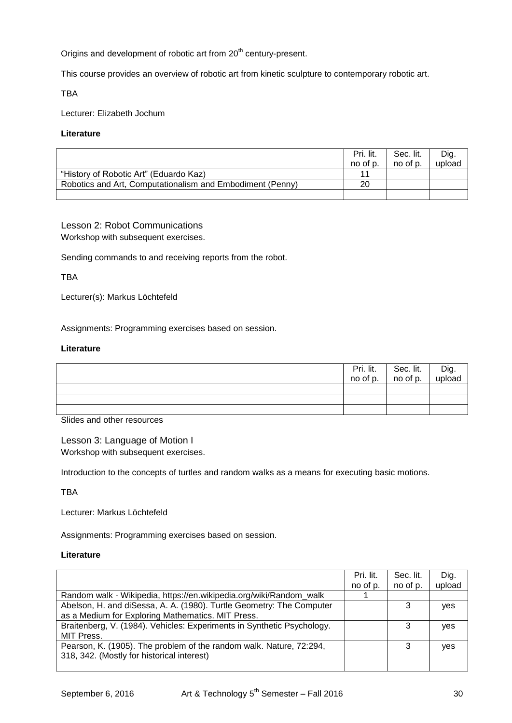Origins and development of robotic art from 20<sup>th</sup> century-present.

This course provides an overview of robotic art from kinetic sculpture to contemporary robotic art.

TBA

Lecturer: Elizabeth Jochum

#### **Literature**

|                                                           | Pri. lit.<br>no of p. | Sec. lit.<br>no of p. | Dig.<br>upload |
|-----------------------------------------------------------|-----------------------|-----------------------|----------------|
| "History of Robotic Art" (Eduardo Kaz)                    | 11                    |                       |                |
| Robotics and Art, Computationalism and Embodiment (Penny) | 20                    |                       |                |
|                                                           |                       |                       |                |

## Lesson 2: Robot Communications Workshop with subsequent exercises.

Sending commands to and receiving reports from the robot.

TBA

Lecturer(s): Markus Löchtefeld

Assignments: Programming exercises based on session.

#### **Literature**

|  | Pri. lit. Sec. lit.<br>no of p. no of p. | Dig.<br>upload |
|--|------------------------------------------|----------------|
|  |                                          |                |
|  |                                          |                |
|  |                                          |                |

Slides and other resources

Lesson 3: Language of Motion I Workshop with subsequent exercises.

Introduction to the concepts of turtles and random walks as a means for executing basic motions.

TBA

Lecturer: Markus Löchtefeld

Assignments: Programming exercises based on session.

|                                                                        | Pri. lit. | Sec. lit. | Dig.   |
|------------------------------------------------------------------------|-----------|-----------|--------|
|                                                                        | no of p.  | no of p.  | upload |
| Random walk - Wikipedia, https://en.wikipedia.org/wiki/Random_walk     |           |           |        |
| Abelson, H. and diSessa, A. A. (1980). Turtle Geometry: The Computer   |           | 3         | yes    |
| as a Medium for Exploring Mathematics. MIT Press.                      |           |           |        |
| Braitenberg, V. (1984). Vehicles: Experiments in Synthetic Psychology. |           | 3         | yes    |
| MIT Press.                                                             |           |           |        |
| Pearson, K. (1905). The problem of the random walk. Nature, 72:294,    |           | 3         | yes    |
| 318, 342. (Mostly for historical interest)                             |           |           |        |
|                                                                        |           |           |        |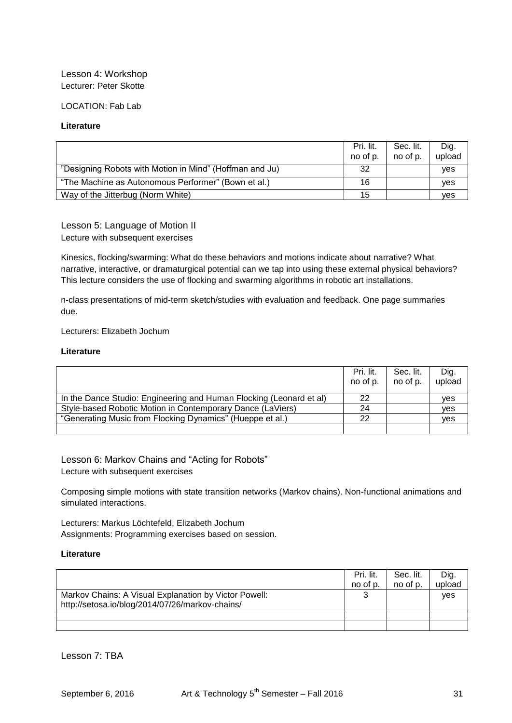## Lesson 4: Workshop Lecturer: Peter Skotte

LOCATION: Fab Lab

#### **Literature**

|                                                         | Pri. lit.<br>no of p. | Sec. lit.<br>no of p. | Dig.<br>upload |
|---------------------------------------------------------|-----------------------|-----------------------|----------------|
| "Designing Robots with Motion in Mind" (Hoffman and Ju) | 32                    |                       | ves            |
| "The Machine as Autonomous Performer" (Bown et al.)     | 16                    |                       | ves            |
| Way of the Jitterbug (Norm White)                       | 15                    |                       | <b>ves</b>     |

Lesson 5: Language of Motion II Lecture with subsequent exercises

Kinesics, flocking/swarming: What do these behaviors and motions indicate about narrative? What narrative, interactive, or dramaturgical potential can we tap into using these external physical behaviors? This lecture considers the use of flocking and swarming algorithms in robotic art installations.

n-class presentations of mid-term sketch/studies with evaluation and feedback. One page summaries due.

Lecturers: Elizabeth Jochum

#### **Literature**

|                                                                     | Pri. lit.<br>no of p. | Sec. lit.<br>no of p. | Dig.<br>upload |
|---------------------------------------------------------------------|-----------------------|-----------------------|----------------|
| In the Dance Studio: Engineering and Human Flocking (Leonard et al) | 22                    |                       | ves            |
| Style-based Robotic Motion in Contemporary Dance (LaViers)          | 24                    |                       | ves            |
| "Generating Music from Flocking Dynamics" (Hueppe et al.)           | 22                    |                       | <b>ves</b>     |
|                                                                     |                       |                       |                |

Lesson 6: Markov Chains and "Acting for Robots"

Lecture with subsequent exercises

Composing simple motions with state transition networks (Markov chains). Non-functional animations and simulated interactions.

Lecturers: Markus Löchtefeld, Elizabeth Jochum Assignments: Programming exercises based on session.

#### **Literature**

|                                                       | Pri. lit. | Sec. lit. | Dig.   |
|-------------------------------------------------------|-----------|-----------|--------|
|                                                       | no of p.  | no of p.  | upload |
| Markov Chains: A Visual Explanation by Victor Powell: | ົ         |           | ves    |
| http://setosa.io/blog/2014/07/26/markov-chains/       |           |           |        |
|                                                       |           |           |        |
|                                                       |           |           |        |

Lesson 7: TBA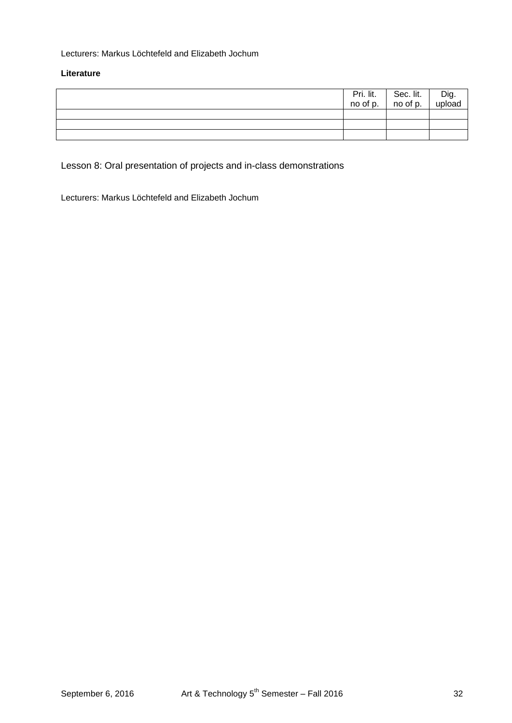## Lecturers: Markus Löchtefeld and Elizabeth Jochum

#### **Literature**

|  | Pri. lit. Sec. lit.<br>no of p. no of p. | <sup>I</sup> Dig.<br>upload |
|--|------------------------------------------|-----------------------------|
|  |                                          |                             |
|  |                                          |                             |
|  |                                          |                             |

Lesson 8: Oral presentation of projects and in-class demonstrations

Lecturers: Markus Löchtefeld and Elizabeth Jochum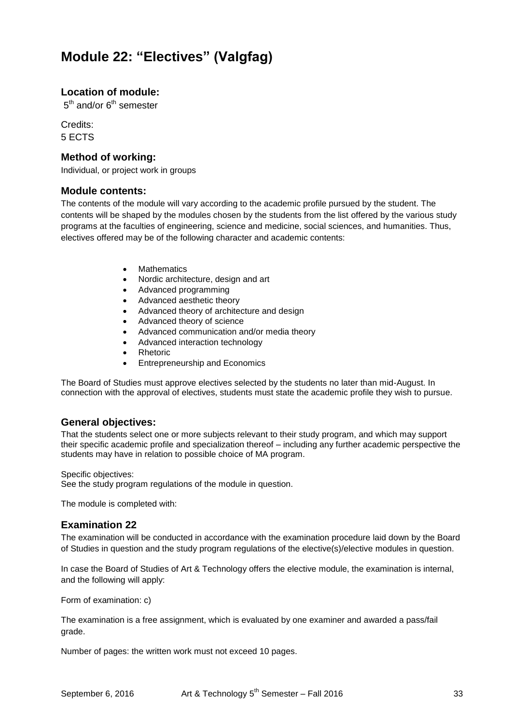## **Module 22: "Electives" (Valgfag)**

## **Location of module:**

 $5^{\text{th}}$  and/or  $6^{\text{th}}$  semester

Credits: 5 ECTS

## **Method of working:**

Individual, or project work in groups

## **Module contents:**

The contents of the module will vary according to the academic profile pursued by the student. The contents will be shaped by the modules chosen by the students from the list offered by the various study programs at the faculties of engineering, science and medicine, social sciences, and humanities. Thus, electives offered may be of the following character and academic contents:

- Mathematics
- Nordic architecture, design and art
- Advanced programming
- Advanced aesthetic theory
- Advanced theory of architecture and design
- Advanced theory of science
- Advanced communication and/or media theory
- Advanced interaction technology
- Rhetoric
- Entrepreneurship and Economics

The Board of Studies must approve electives selected by the students no later than mid-August. In connection with the approval of electives, students must state the academic profile they wish to pursue.

## **General objectives:**

That the students select one or more subjects relevant to their study program, and which may support their specific academic profile and specialization thereof – including any further academic perspective the students may have in relation to possible choice of MA program.

#### Specific objectives:

See the study program regulations of the module in question.

The module is completed with:

## **Examination 22**

The examination will be conducted in accordance with the examination procedure laid down by the Board of Studies in question and the study program regulations of the elective(s)/elective modules in question.

In case the Board of Studies of Art & Technology offers the elective module, the examination is internal, and the following will apply:

Form of examination: c)

The examination is a free assignment, which is evaluated by one examiner and awarded a pass/fail grade.

Number of pages: the written work must not exceed 10 pages.